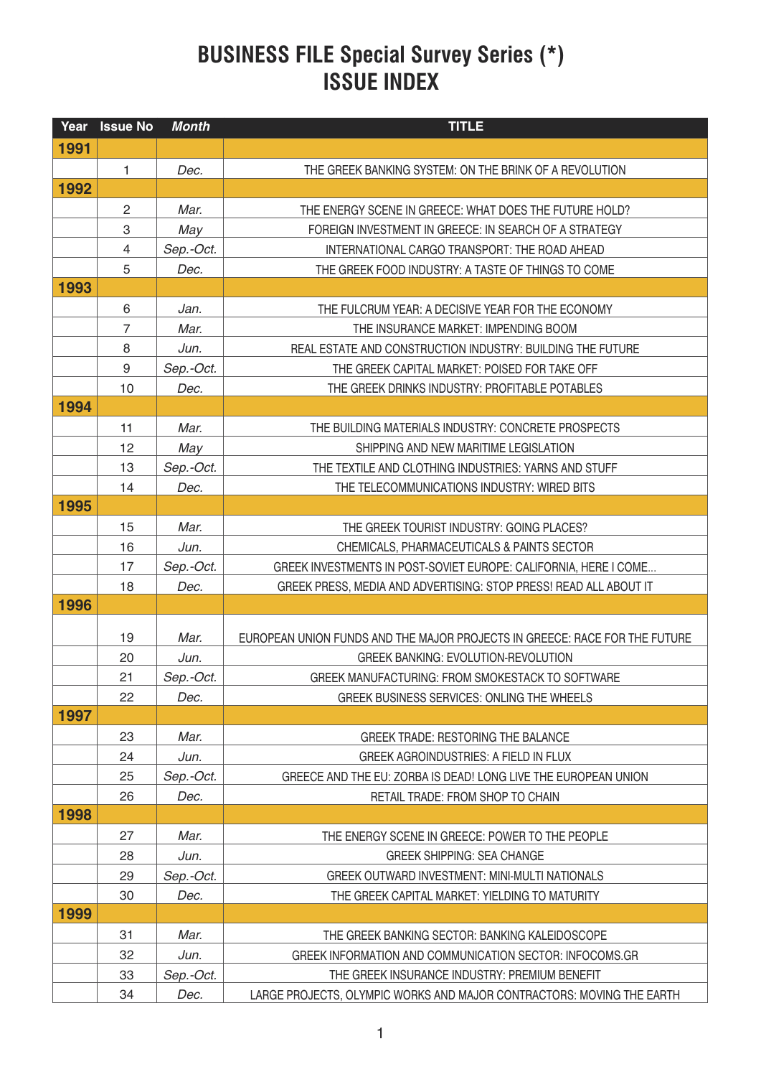## **BUSINESS FILE Special Survey Series (\*) ISSUE INDEX**

| Year | <b>Issue No</b>  | <b>Month</b> | <b>TITLE</b>                                                               |
|------|------------------|--------------|----------------------------------------------------------------------------|
| 1991 |                  |              |                                                                            |
|      | $\mathbf{1}$     | Dec.         | THE GREEK BANKING SYSTEM: ON THE BRINK OF A REVOLUTION                     |
| 1992 |                  |              |                                                                            |
|      | $\overline{c}$   | Mar.         | THE ENERGY SCENE IN GREECE: WHAT DOES THE FUTURE HOLD?                     |
|      | 3                | May          | FOREIGN INVESTMENT IN GREECE: IN SEARCH OF A STRATEGY                      |
|      | $\overline{4}$   | Sep.-Oct.    | INTERNATIONAL CARGO TRANSPORT: THE ROAD AHEAD                              |
|      | 5                | Dec.         | THE GREEK FOOD INDUSTRY: A TASTE OF THINGS TO COME                         |
| 1993 |                  |              |                                                                            |
|      | 6                | Jan.         | THE FULCRUM YEAR: A DECISIVE YEAR FOR THE ECONOMY                          |
|      | $\overline{7}$   | Mar.         | THE INSURANCE MARKET: IMPENDING BOOM                                       |
|      | 8                | Jun.         | REAL ESTATE AND CONSTRUCTION INDUSTRY: BUILDING THE FUTURE                 |
|      | $\boldsymbol{9}$ | Sep.-Oct.    | THE GREEK CAPITAL MARKET: POISED FOR TAKE OFF                              |
|      | 10               | Dec.         | THE GREEK DRINKS INDUSTRY: PROFITABLE POTABLES                             |
| 1994 |                  |              |                                                                            |
|      | 11               | Mar.         | THE BUILDING MATERIALS INDUSTRY: CONCRETE PROSPECTS                        |
|      | 12               | May          | SHIPPING AND NEW MARITIME LEGISLATION                                      |
|      | 13               | Sep.-Oct.    | THE TEXTILE AND CLOTHING INDUSTRIES: YARNS AND STUFF                       |
|      | 14               | Dec.         | THE TELECOMMUNICATIONS INDUSTRY: WIRED BITS                                |
| 1995 |                  |              |                                                                            |
|      | 15               | Mar.         | THE GREEK TOURIST INDUSTRY: GOING PLACES?                                  |
|      | 16               | Jun.         | CHEMICALS, PHARMACEUTICALS & PAINTS SECTOR                                 |
|      | 17               | Sep.-Oct.    | GREEK INVESTMENTS IN POST-SOVIET EUROPE: CALIFORNIA, HERE I COME           |
|      | 18               | Dec.         | GREEK PRESS, MEDIA AND ADVERTISING: STOP PRESS! READ ALL ABOUT IT          |
| 1996 |                  |              |                                                                            |
|      | 19               | Mar.         | EUROPEAN UNION FUNDS AND THE MAJOR PROJECTS IN GREECE: RACE FOR THE FUTURE |
|      | 20               | Jun.         | <b>GREEK BANKING: EVOLUTION-REVOLUTION</b>                                 |
|      | 21               | Sep.-Oct.    | GREEK MANUFACTURING: FROM SMOKESTACK TO SOFTWARE                           |
|      | 22               | Dec.         | GREEK BUSINESS SERVICES: ONLING THE WHEELS                                 |
| 1997 |                  |              |                                                                            |
|      | 23               | Mar.         | <b>GREEK TRADE: RESTORING THE BALANCE</b>                                  |
|      | 24               | Jun.         | <b>GREEK AGROINDUSTRIES: A FIELD IN FLUX</b>                               |
|      | 25               | Sep.-Oct.    | GREECE AND THE EU: ZORBA IS DEAD! LONG LIVE THE EUROPEAN UNION             |
|      | 26               | Dec.         | RETAIL TRADE: FROM SHOP TO CHAIN                                           |
| 1998 |                  |              |                                                                            |
|      | 27               | Mar.         | THE ENERGY SCENE IN GREECE: POWER TO THE PEOPLE                            |
|      | 28               | Jun.         | <b>GREEK SHIPPING: SEA CHANGE</b>                                          |
|      | 29               | Sep.-Oct.    | GREEK OUTWARD INVESTMENT: MINI-MULTI NATIONALS                             |
|      | 30               | Dec.         | THE GREEK CAPITAL MARKET: YIELDING TO MATURITY                             |
| 1999 |                  |              |                                                                            |
|      | 31               | Mar.         | THE GREEK BANKING SECTOR: BANKING KALEIDOSCOPE                             |
|      | 32               | Jun.         | GREEK INFORMATION AND COMMUNICATION SECTOR: INFOCOMS.GR                    |
|      | 33               | Sep.-Oct.    | THE GREEK INSURANCE INDUSTRY: PREMIUM BENEFIT                              |
|      | 34               | Dec.         | LARGE PROJECTS, OLYMPIC WORKS AND MAJOR CONTRACTORS: MOVING THE EARTH      |